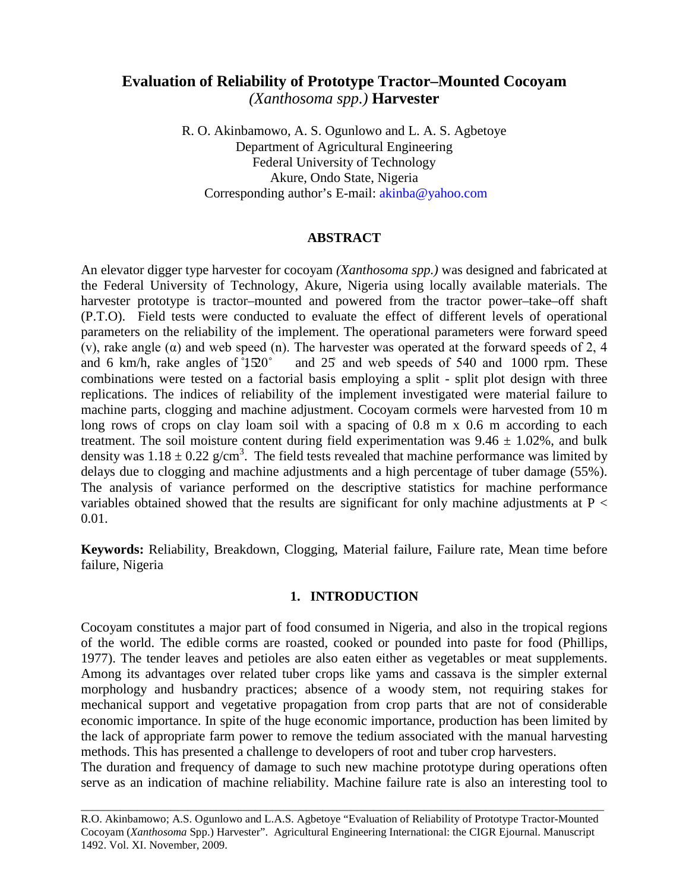# **Evaluation of Reliability of Prototype Tractor–Mounted Cocoyam**  *(Xanthosoma spp.)* **Harvester**

R. O. Akinbamowo, A. S. Ogunlowo and L. A. S. Agbetoye Department of Agricultural Engineering Federal University of Technology Akure, Ondo State, Nigeria Corresponding author's E-mail: [akinba@yahoo.com](mailto:akinba@yahoo.com)

## **ABSTRACT**

An elevator digger type harvester for cocoyam *(Xanthosoma spp.)* was designed and fabricated at the Federal University of Technology, Akure, Nigeria using locally available materials. The harvester prototype is tractor–mounted and powered from the tractor power–take–off shaft (P.T.O). Field tests were conducted to evaluate the effect of different levels of operational parameters on the reliability of the implement. The operational parameters were forward speed (v), rake angle ( $\alpha$ ) and web speed (n). The harvester was operated at the forward speeds of 2, 4 and 6 km/h, rake angles of  $150^\circ$  and  $25^\circ$  and web speeds of 540 and 1000 rpm. These combinations were tested on a factorial basis employing a split - split plot design with three replications. The indices of reliability of the implement investigated were material failure to machine parts, clogging and machine adjustment. Cocoyam cormels were harvested from 10 m long rows of crops on clay loam soil with a spacing of 0.8 m x 0.6 m according to each treatment. The soil moisture content during field experimentation was  $9.46 \pm 1.02\%$ , and bulk density was  $1.18 \pm 0.22$  g/cm<sup>3</sup>. The field tests revealed that machine performance was limited by delays due to clogging and machine adjustments and a high percentage of tuber damage (55%). The analysis of variance performed on the descriptive statistics for machine performance variables obtained showed that the results are significant for only machine adjustments at  $P <$ 0.01.

**Keywords:** Reliability, Breakdown, Clogging, Material failure, Failure rate, Mean time before failure, Nigeria

## **1. INTRODUCTION**

Cocoyam constitutes a major part of food consumed in Nigeria, and also in the tropical regions of the world. The edible corms are roasted, cooked or pounded into paste for food (Phillips, 1977). The tender leaves and petioles are also eaten either as vegetables or meat supplements. Among its advantages over related tuber crops like yams and cassava is the simpler external morphology and husbandry practices; absence of a woody stem, not requiring stakes for mechanical support and vegetative propagation from crop parts that are not of considerable economic importance. In spite of the huge economic importance, production has been limited by the lack of appropriate farm power to remove the tedium associated with the manual harvesting methods. This has presented a challenge to developers of root and tuber crop harvesters.

The duration and frequency of damage to such new machine prototype during operations often serve as an indication of machine reliability. Machine failure rate is also an interesting tool to

R.O. Akinbamowo; A.S. Ogunlowo and L.A.S. Agbetoye "Evaluation of Reliability of Prototype Tractor-Mounted Cocoyam (*Xanthosoma* Spp.) Harvester". Agricultural Engineering International: the CIGR Ejournal. Manuscript 1492. Vol. XI. November, 2009.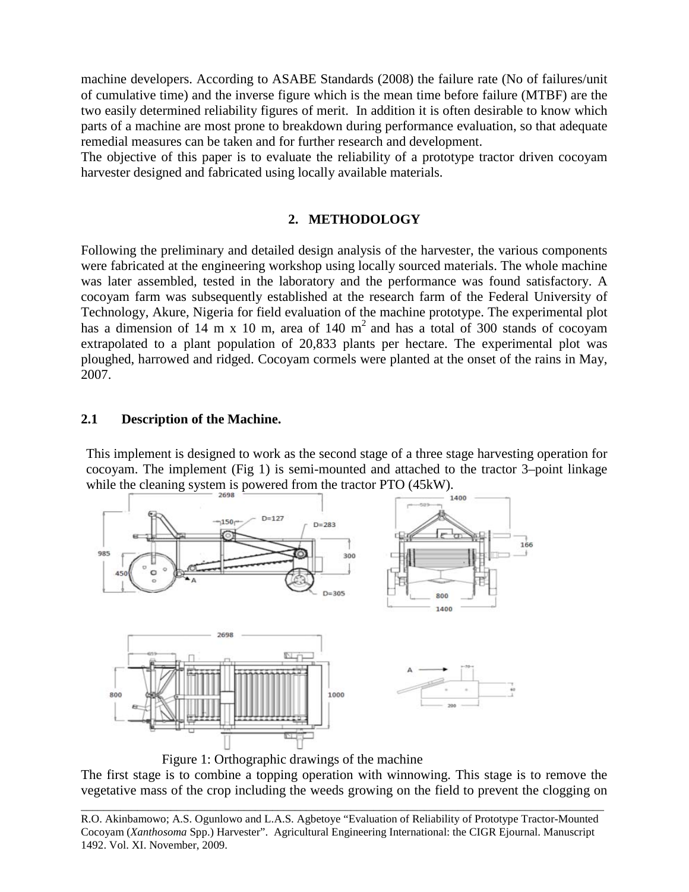machine developers. According to ASABE Standards (2008) the failure rate (No of failures/unit of cumulative time) and the inverse figure which is the mean time before failure (MTBF) are the two easily determined reliability figures of merit. In addition it is often desirable to know which parts of a machine are most prone to breakdown during performance evaluation, so that adequate remedial measures can be taken and for further research and development.

The objective of this paper is to evaluate the reliability of a prototype tractor driven cocoyam harvester designed and fabricated using locally available materials.

## **2. METHODOLOGY**

Following the preliminary and detailed design analysis of the harvester, the various components were fabricated at the engineering workshop using locally sourced materials. The whole machine was later assembled, tested in the laboratory and the performance was found satisfactory. A cocoyam farm was subsequently established at the research farm of the Federal University of Technology, Akure, Nigeria for field evaluation of the machine prototype. The experimental plot has a dimension of 14 m x 10 m, area of 140  $m<sup>2</sup>$  and has a total of 300 stands of cocoyam extrapolated to a plant population of 20,833 plants per hectare. The experimental plot was ploughed, harrowed and ridged. Cocoyam cormels were planted at the onset of the rains in May, 2007.

## **2.1 Description of the Machine.**

This implement is designed to work as the second stage of a three stage harvesting operation for cocoyam. The implement (Fig 1) is semi-mounted and attached to the tractor 3–point linkage while the cleaning system is powered from the tractor PTO (45kW).



Figure 1: Orthographic drawings of the machine

The first stage is to combine a topping operation with winnowing. This stage is to remove the vegetative mass of the crop including the weeds growing on the field to prevent the clogging on

R.O. Akinbamowo; A.S. Ogunlowo and L.A.S. Agbetoye "Evaluation of Reliability of Prototype Tractor-Mounted Cocoyam (*Xanthosoma* Spp.) Harvester". Agricultural Engineering International: the CIGR Ejournal. Manuscript 1492. Vol. XI. November, 2009.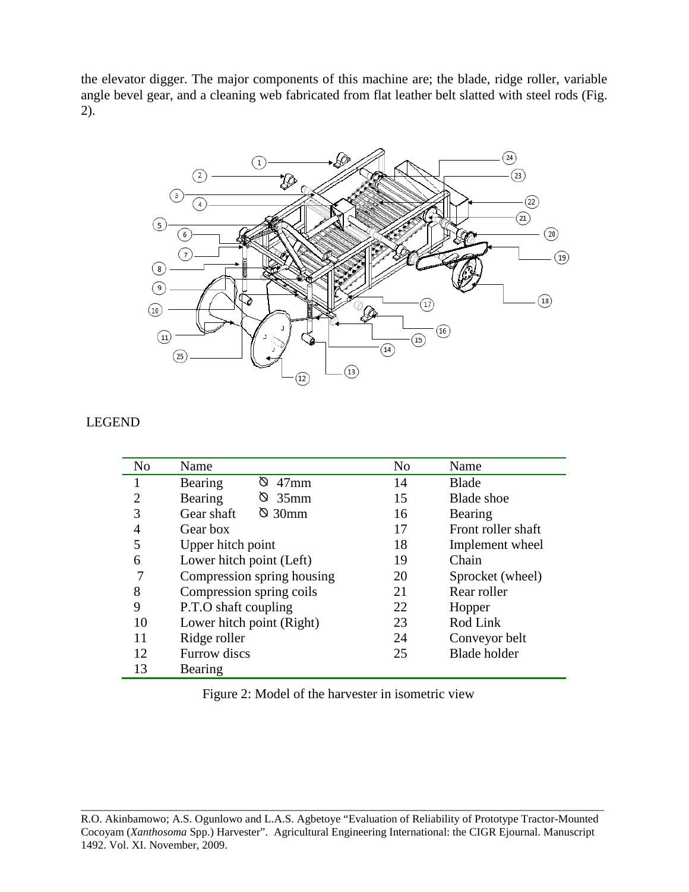the elevator digger. The major components of this machine are; the blade, ridge roller, variable angle bevel gear, and a cleaning web fabricated from flat leather belt slatted with steel rods (Fig. 2).



## LEGEND

| N <sub>o</sub> | Name                         | N <sub>o</sub> | Name                |
|----------------|------------------------------|----------------|---------------------|
|                | Ø<br>$47$ mm<br>Bearing      | 14             | <b>Blade</b>        |
| ာ              | $\otimes$ 35mm<br>Bearing    | 15             | <b>Blade</b> shoe   |
| 3              | $\otimes$ 30mm<br>Gear shaft | 16             | Bearing             |
| 4              | Gear box                     | 17             | Front roller shaft  |
| 5              | Upper hitch point            | 18             | Implement wheel     |
| 6              | Lower hitch point (Left)     | 19             | Chain               |
| 7              | Compression spring housing   | 20             | Sprocket (wheel)    |
| 8              | Compression spring coils     | 21             | Rear roller         |
| 9              | P.T.O shaft coupling         | 22             | Hopper              |
| 10             | Lower hitch point (Right)    | 23             | Rod Link            |
| 11             | Ridge roller                 | 24             | Conveyor belt       |
| 12             | Furrow discs                 | 25             | <b>Blade holder</b> |
| 13             | Bearing                      |                |                     |

Figure 2: Model of the harvester in isometric view

\_\_\_\_\_\_\_\_\_\_\_\_\_\_\_\_\_\_\_\_\_\_\_\_\_\_\_\_\_\_\_\_\_\_\_\_\_\_\_\_\_\_\_\_\_\_\_\_\_\_\_\_\_\_\_\_\_\_\_\_\_\_\_\_\_\_\_\_\_\_\_\_\_\_\_\_\_\_\_\_\_\_\_\_\_\_\_\_\_\_\_\_\_ R.O. Akinbamowo; A.S. Ogunlowo and L.A.S. Agbetoye "Evaluation of Reliability of Prototype Tractor-Mounted Cocoyam (*Xanthosoma* Spp.) Harvester". Agricultural Engineering International: the CIGR Ejournal. Manuscript 1492. Vol. XI. November, 2009.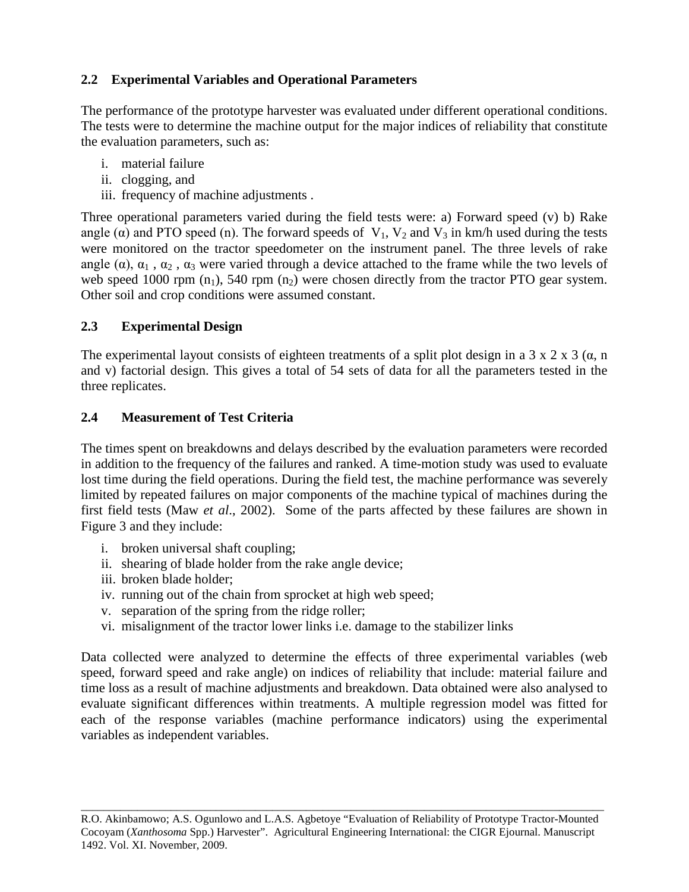## **2.2 Experimental Variables and Operational Parameters**

The performance of the prototype harvester was evaluated under different operational conditions. The tests were to determine the machine output for the major indices of reliability that constitute the evaluation parameters, such as:

- i. material failure
- ii. clogging, and
- iii. frequency of machine adjustments .

Three operational parameters varied during the field tests were: a) Forward speed (v) b) Rake angle ( $\alpha$ ) and PTO speed (n). The forward speeds of V<sub>1</sub>, V<sub>2</sub> and V<sub>3</sub> in km/h used during the tests were monitored on the tractor speedometer on the instrument panel. The three levels of rake angle ( $\alpha$ ),  $\alpha_1$ ,  $\alpha_2$ ,  $\alpha_3$  were varied through a device attached to the frame while the two levels of web speed 1000 rpm  $(n_1)$ , 540 rpm  $(n_2)$  were chosen directly from the tractor PTO gear system. Other soil and crop conditions were assumed constant.

## **2.3 Experimental Design**

The experimental layout consists of eighteen treatments of a split plot design in a 3 x 2 x 3 ( $\alpha$ , n and v) factorial design. This gives a total of 54 sets of data for all the parameters tested in the three replicates.

## **2.4 Measurement of Test Criteria**

The times spent on breakdowns and delays described by the evaluation parameters were recorded in addition to the frequency of the failures and ranked. A time-motion study was used to evaluate lost time during the field operations. During the field test, the machine performance was severely limited by repeated failures on major components of the machine typical of machines during the first field tests (Maw *et al*., 2002). Some of the parts affected by these failures are shown in Figure 3 and they include:

- i. broken universal shaft coupling;
- ii. shearing of blade holder from the rake angle device;
- iii. broken blade holder;
- iv. running out of the chain from sprocket at high web speed;
- v. separation of the spring from the ridge roller;
- vi. misalignment of the tractor lower links i.e. damage to the stabilizer links

Data collected were analyzed to determine the effects of three experimental variables (web speed, forward speed and rake angle) on indices of reliability that include: material failure and time loss as a result of machine adjustments and breakdown. Data obtained were also analysed to evaluate significant differences within treatments. A multiple regression model was fitted for each of the response variables (machine performance indicators) using the experimental variables as independent variables.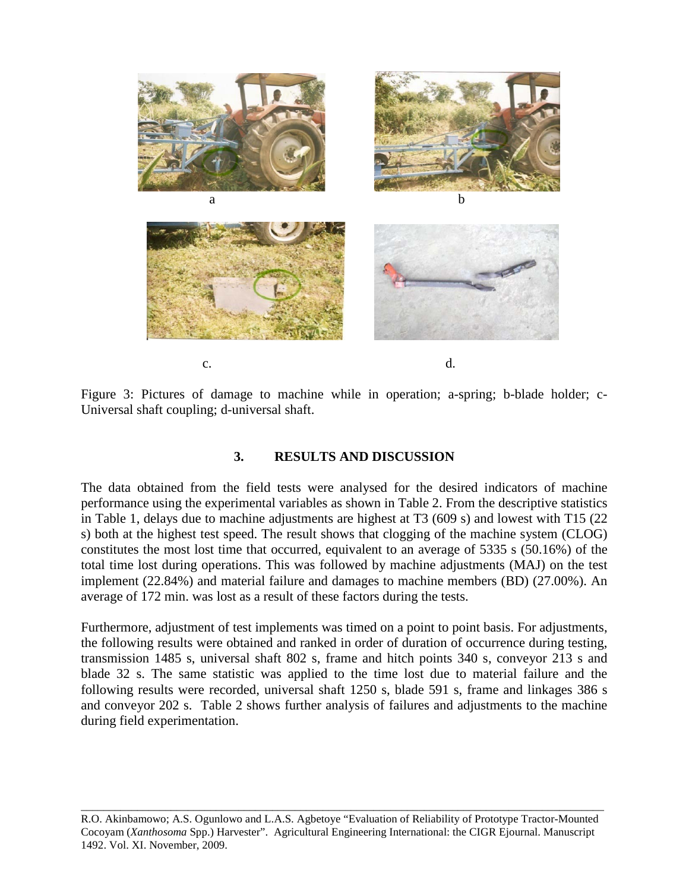

Figure 3: Pictures of damage to machine while in operation; a-spring; b-blade holder; c-Universal shaft coupling; d-universal shaft.

## **3. RESULTS AND DISCUSSION**

The data obtained from the field tests were analysed for the desired indicators of machine performance using the experimental variables as shown in Table 2. From the descriptive statistics in Table 1, delays due to machine adjustments are highest at T3 (609 s) and lowest with T15 (22 s) both at the highest test speed. The result shows that clogging of the machine system (CLOG) constitutes the most lost time that occurred, equivalent to an average of 5335 s (50.16%) of the total time lost during operations. This was followed by machine adjustments (MAJ) on the test implement (22.84%) and material failure and damages to machine members (BD) (27.00%). An average of 172 min. was lost as a result of these factors during the tests.

Furthermore, adjustment of test implements was timed on a point to point basis. For adjustments, the following results were obtained and ranked in order of duration of occurrence during testing, transmission 1485 s, universal shaft 802 s, frame and hitch points 340 s, conveyor 213 s and blade 32 s. The same statistic was applied to the time lost due to material failure and the following results were recorded, universal shaft 1250 s, blade 591 s, frame and linkages 386 s and conveyor 202 s. Table 2 shows further analysis of failures and adjustments to the machine during field experimentation.

R.O. Akinbamowo; A.S. Ogunlowo and L.A.S. Agbetoye "Evaluation of Reliability of Prototype Tractor-Mounted Cocoyam (*Xanthosoma* Spp.) Harvester". Agricultural Engineering International: the CIGR Ejournal. Manuscript 1492. Vol. XI. November, 2009.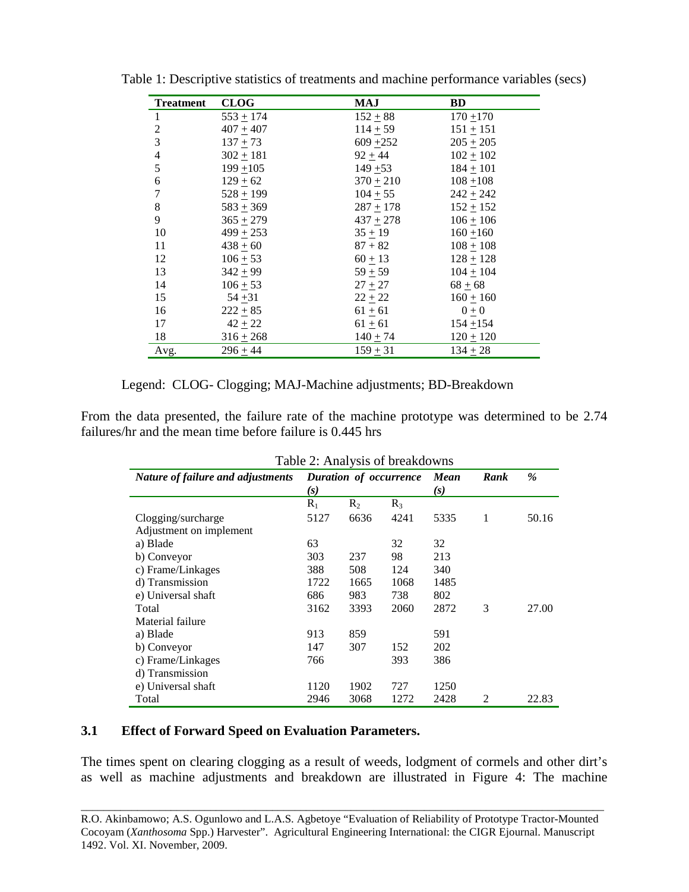| <b>Treatment</b> | <b>CLOG</b>   | MAJ           | BD            |
|------------------|---------------|---------------|---------------|
| 1                | $553 + 174$   | $152 + 88$    | $170 + 170$   |
| $\overline{2}$   | $407 + 407$   | $114 + 59$    | $151 + 151$   |
| 3                | $137 + 73$    | 609 $\pm 252$ | $205 \pm 205$ |
| $\overline{4}$   | $302 + 181$   | $92 + 44$     | $102 + 102$   |
| 5                | $199 + 105$   | $149 + 53$    | $184 + 101$   |
| 6                | $129 \pm 62$  | $370 \pm 210$ | $108 + 108$   |
| $\boldsymbol{7}$ | $528 + 199$   | $104 + 55$    | $242 + 242$   |
| 8                | $583 + 369$   | $287 + 178$   | $152 + 152$   |
| 9                | $365 + 279$   | $437 + 278$   | $106 \pm 106$ |
| 10               | $499 + 253$   | $35 + 19$     | $160 + 160$   |
| 11               | $438 + 60$    | $87 + 82$     | $108 + 108$   |
| 12               | $106 \pm 53$  | $60 \pm 13$   | $128 + 128$   |
| 13               | $342 + 99$    | $59 + 59$     | $104 + 104$   |
| 14               | $106 \pm 53$  | $27 + 27$     | $68 + 68$     |
| 15               | $54 + 31$     | $22 \pm 22$   | $160 + 160$   |
| 16               | $222 + 85$    | $61 \pm 61$   | $0\pm 0$      |
| 17               | $42 + 22$     | $61 \pm 61$   | $154 + 154$   |
| 18               | $316 \pm 268$ | $140 \pm 74$  | $120 \pm 120$ |
| Avg.             | $296 + 44$    | $159 + 31$    | $134 + 28$    |

Table 1: Descriptive statistics of treatments and machine performance variables (secs)

| Legend: CLOG- Clogging; MAJ-Machine adjustments; BD-Breakdown |  |  |
|---------------------------------------------------------------|--|--|
|                                                               |  |  |

From the data presented, the failure rate of the machine prototype was determined to be 2.74 failures/hr and the mean time before failure is 0.445 hrs

| Table 2: Analysis of breakdowns   |                               |       |       |      |      |       |
|-----------------------------------|-------------------------------|-------|-------|------|------|-------|
| Nature of failure and adjustments | Duration of occurrence<br>(s) |       | Mean  | Rank | $\%$ |       |
|                                   |                               |       | (s)   |      |      |       |
|                                   | $R_1$                         | $R_2$ | $R_3$ |      |      |       |
| Clogging/surcharge                | 5127                          | 6636  | 4241  | 5335 | 1    | 50.16 |
| Adjustment on implement           |                               |       |       |      |      |       |
| a) Blade                          | 63                            |       | 32    | 32   |      |       |
| b) Conveyor                       | 303                           | 237   | 98    | 213  |      |       |
| c) Frame/Linkages                 | 388                           | 508   | 124   | 340  |      |       |
| d) Transmission                   | 1722                          | 1665  | 1068  | 1485 |      |       |
| e) Universal shaft                | 686                           | 983   | 738   | 802  |      |       |
| Total                             | 3162                          | 3393  | 2060  | 2872 | 3    | 27.00 |
| Material failure                  |                               |       |       |      |      |       |
| a) Blade                          | 913                           | 859   |       | 591  |      |       |
| b) Conveyor                       | 147                           | 307   | 152   | 202  |      |       |
| c) Frame/Linkages                 | 766                           |       | 393   | 386  |      |       |
| d) Transmission                   |                               |       |       |      |      |       |
| e) Universal shaft                | 1120                          | 1902  | 727   | 1250 |      |       |
| Total                             | 2946                          | 3068  | 1272  | 2428 | 2    | 22.83 |

## **3.1 Effect of Forward Speed on Evaluation Parameters.**

The times spent on clearing clogging as a result of weeds, lodgment of cormels and other dirt's as well as machine adjustments and breakdown are illustrated in Figure 4: The machine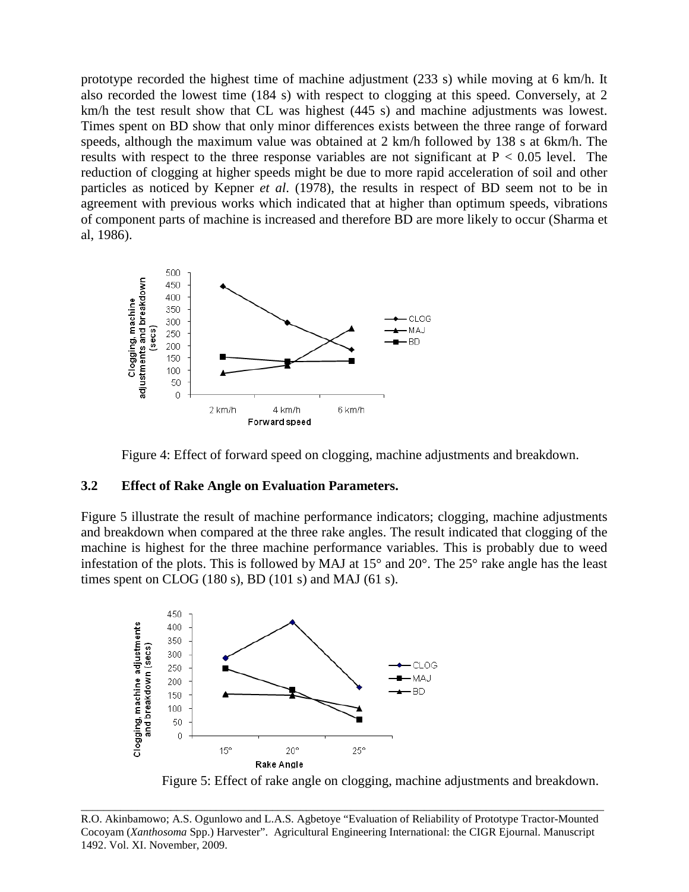prototype recorded the highest time of machine adjustment (233 s) while moving at 6 km/h. It also recorded the lowest time (184 s) with respect to clogging at this speed. Conversely, at 2 km/h the test result show that CL was highest (445 s) and machine adjustments was lowest. Times spent on BD show that only minor differences exists between the three range of forward speeds, although the maximum value was obtained at 2 km/h followed by 138 s at 6km/h. The results with respect to the three response variables are not significant at  $P < 0.05$  level. The reduction of clogging at higher speeds might be due to more rapid acceleration of soil and other particles as noticed by Kepner *et al*. (1978), the results in respect of BD seem not to be in agreement with previous works which indicated that at higher than optimum speeds, vibrations of component parts of machine is increased and therefore BD are more likely to occur (Sharma et al, 1986).



Figure 4: Effect of forward speed on clogging, machine adjustments and breakdown.

#### **3.2 Effect of Rake Angle on Evaluation Parameters.**

Figure 5 illustrate the result of machine performance indicators; clogging, machine adjustments and breakdown when compared at the three rake angles. The result indicated that clogging of the machine is highest for the three machine performance variables. This is probably due to weed infestation of the plots. This is followed by MAJ at 15° and 20°. The 25° rake angle has the least times spent on CLOG  $(180 s)$ , BD  $(101 s)$  and MAJ  $(61 s)$ .



Figure 5: Effect of rake angle on clogging, machine adjustments and breakdown.

R.O. Akinbamowo; A.S. Ogunlowo and L.A.S. Agbetoye "Evaluation of Reliability of Prototype Tractor-Mounted Cocoyam (*Xanthosoma* Spp.) Harvester". Agricultural Engineering International: the CIGR Ejournal. Manuscript 1492. Vol. XI. November, 2009.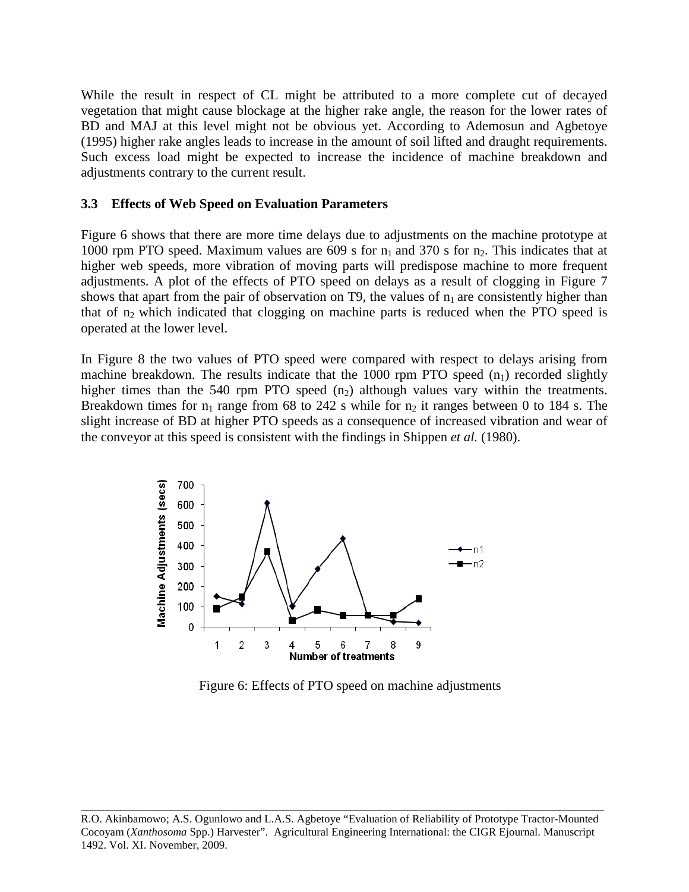While the result in respect of CL might be attributed to a more complete cut of decayed vegetation that might cause blockage at the higher rake angle, the reason for the lower rates of BD and MAJ at this level might not be obvious yet. According to Ademosun and Agbetoye (1995) higher rake angles leads to increase in the amount of soil lifted and draught requirements. Such excess load might be expected to increase the incidence of machine breakdown and adjustments contrary to the current result.

## **3.3 Effects of Web Speed on Evaluation Parameters**

Figure 6 shows that there are more time delays due to adjustments on the machine prototype at 1000 rpm PTO speed. Maximum values are 609 s for  $n_1$  and 370 s for  $n_2$ . This indicates that at higher web speeds, more vibration of moving parts will predispose machine to more frequent adjustments. A plot of the effects of PTO speed on delays as a result of clogging in Figure 7 shows that apart from the pair of observation on T9, the values of  $n_1$  are consistently higher than that of  $n_2$  which indicated that clogging on machine parts is reduced when the PTO speed is operated at the lower level.

In Figure 8 the two values of PTO speed were compared with respect to delays arising from machine breakdown. The results indicate that the 1000 rpm PTO speed  $(n_1)$  recorded slightly higher times than the 540 rpm PTO speed  $(n_2)$  although values vary within the treatments. Breakdown times for  $n_1$  range from 68 to 242 s while for  $n_2$  it ranges between 0 to 184 s. The slight increase of BD at higher PTO speeds as a consequence of increased vibration and wear of the conveyor at this speed is consistent with the findings in Shippen *et al.* (1980).



Figure 6: Effects of PTO speed on machine adjustments

R.O. Akinbamowo; A.S. Ogunlowo and L.A.S. Agbetoye "Evaluation of Reliability of Prototype Tractor-Mounted Cocoyam (*Xanthosoma* Spp.) Harvester". Agricultural Engineering International: the CIGR Ejournal. Manuscript 1492. Vol. XI. November, 2009.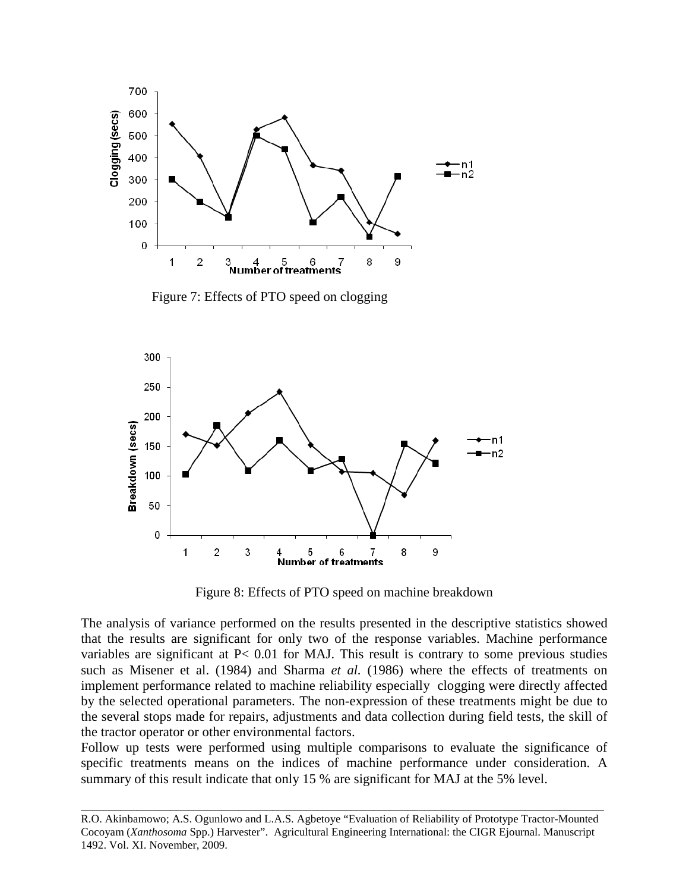

Figure 7: Effects of PTO speed on clogging



Figure 8: Effects of PTO speed on machine breakdown

The analysis of variance performed on the results presented in the descriptive statistics showed that the results are significant for only two of the response variables. Machine performance variables are significant at P< 0.01 for MAJ. This result is contrary to some previous studies such as Misener et al. (1984) and Sharma *et al.* (1986) where the effects of treatments on implement performance related to machine reliability especially clogging were directly affected by the selected operational parameters. The non-expression of these treatments might be due to the several stops made for repairs, adjustments and data collection during field tests, the skill of the tractor operator or other environmental factors.

Follow up tests were performed using multiple comparisons to evaluate the significance of specific treatments means on the indices of machine performance under consideration. A summary of this result indicate that only 15 % are significant for MAJ at the 5% level.

R.O. Akinbamowo; A.S. Ogunlowo and L.A.S. Agbetoye "Evaluation of Reliability of Prototype Tractor-Mounted Cocoyam (*Xanthosoma* Spp.) Harvester". Agricultural Engineering International: the CIGR Ejournal. Manuscript 1492. Vol. XI. November, 2009.